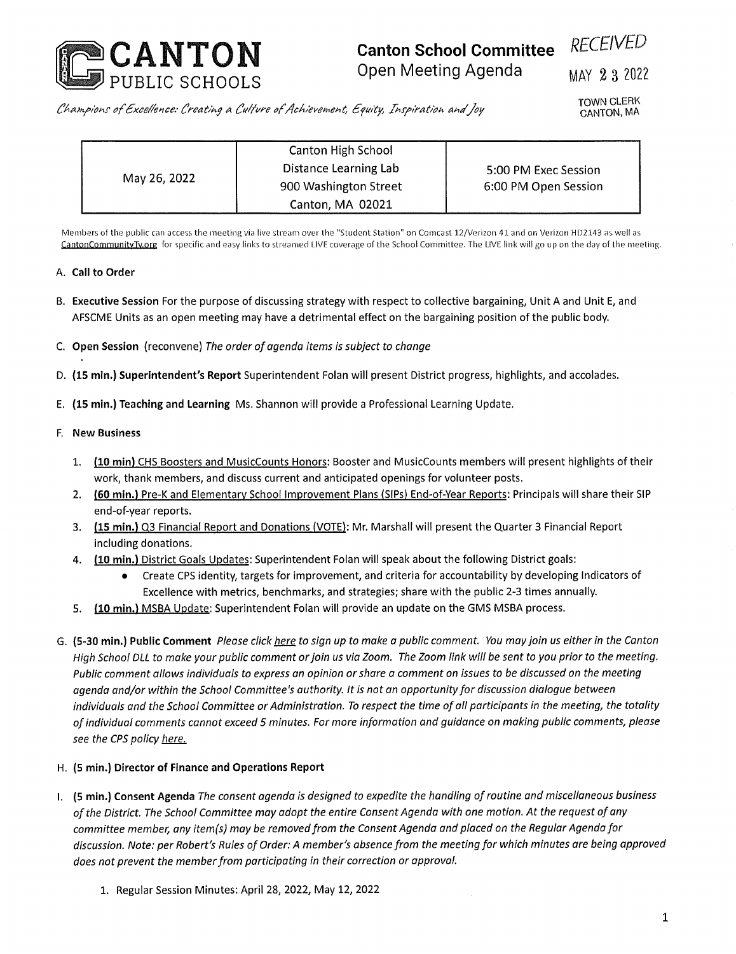

## **Canton School Committee** *RECEIVED* Open Meeting Agenda MAY 2 3 2022

*offtcefexce: Creating o fiffure of/ff'evex-.e^t, ffyuity, ffr'fi/'o.t/'oi'. ahfJoy*

TOWN CLERK CANTON, MA

| May 26, 2022 | Canton High School    | 5:00 PM Exec Session<br>6:00 PM Open Session |
|--------------|-----------------------|----------------------------------------------|
|              | Distance Learning Lab |                                              |
|              | 900 Washington Street |                                              |
|              | Canton, MA 02021      |                                              |

Members of the public can access the meeting via live stream over the "Student Station" on Comcast 12/Verizon 41 and on Verizon HD2143 as well as **CantonCommunitvTv.ore** for specific and easy links to streamed LIVE coverage of the School Committee. The LIVE link will go up on the day of the meeting.

## A. **Call to Order**

- B. **Executive Session** For the purpose of discussing strategy with respect to collective bargaining, Unit A and Unit E, and AFSCME Units as an open meeting may have <sup>a</sup> detrimental effect on the bargaining position of the public body.
- C. **Open Session** (reconvene) *The order of agenda items is subject to change*
- D. **(15 min.) Superintendent's Report** Superintendent Folan will present District progress, highlights, and accolades.
- E. **(15 min.) Teaching and Learning** Ms. Shannon will provide a Professional Learning Update.

## F. **New Business**

- 1. **(10 min)** CHS Boosters and MusicCounts Honors: Booster and MusicCounts members will present highlights of their work, thank members, and discuss current and anticipated openings for volunteer posts.
- 2. **(60 min.)** Pre-K and Elementary School Improvement Plans (SIPs) End-of-Year Reports: Principals will share their SIP end-of-year reports.
- 3. **(15 min.)** Q3 Financial Report and Donations (VOTE): Mr. Marshall will present the Quarter 3 Financial Report including donations.
- 4. **(10 min.)** District Goals Updates: Superintendent Folan will speak about the following District goals:
	- Create CPS identity, targets for improvement, and criteria for accountability by developing Indicators of Excellence with metrics, benchmarks, and strategies; share with the public 2-3 times annually.
- **5. (10 min.)** MSBA Update: Superintendent Folan will provide an update on the GMS MSBA process.
- G. (5-30 min.) Public Comment Please click here to sign up to make a public comment. You may join us either in the Canton High School DLL to make your public comment or join us via Zoom. The Zoom link will be sent to you prior to the meeting. Public comment allows individuals to express an opinion or share a comment on issues to be discussed on the meeting *agenda and/or within the School Committee's authority. It is not an opportunityfor discussion dialogue between* individuals and the School Committee or Administration. To respect the time of all participants in the meeting, the totality of individual comments cannot exceed 5 minutes. For more information and guidance on making public comments, please *see the CPS policy here.*

## **H. (5 min.) Director of Finance and Operations Report**

- I. (5 min.) Consent Agenda The consent agenda is designed to expedite the handling of routine and miscellaneous business of the District. The School Committee may adopt the entire Consent Agenda with one motion. At the request of any committee member, any item(s) may be removed from the Consent Agenda and placed on the Regular Agenda for discussion. Note: per Robert's Rules of Order: A member's absence from the meeting for which minutes are being approved *does not prevent the memberfrom participating in their correction or approval.*
	- 1. Regular Session Minutes: April 28, 2022, May 12, 2022